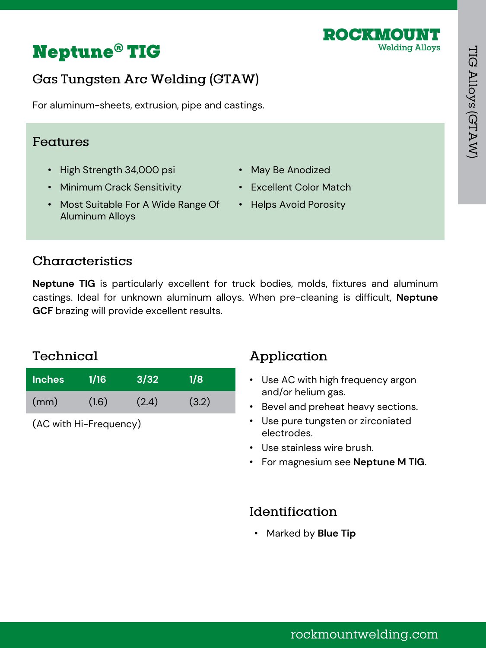

# **Gas Tungsten Arc Welding (GTAW)**

For aluminum-sheets, extrusion, pipe and castings.

## Features

- High Strength 34,000 psi
- Minimum Crack Sensitivity
- Most Suitable For A Wide Range Of Aluminum Alloys
- May Be Anodized
- Excellent Color Match

ROCKMOUN

**Welding Alloys** 

• Helps Avoid Porosity

# Characteristics

**Neptune TIG** is particularly excellent for truck bodies, molds, fixtures and aluminum castings. Ideal for unknown aluminum alloys. When pre-cleaning is difficult, **Neptune GCF** brazing will provide excellent results.

## Technical

| <b>Inches</b> | 1/16  | 3/32  | 1/8   |
|---------------|-------|-------|-------|
| (mm)          | (1.6) | (2.4) | (3.2) |

(AC with Hi-Frequency)

# Application

- Use AC with high frequency argon and/or helium gas.
- Bevel and preheat heavy sections.
- Use pure tungsten or zirconiated electrodes.
- Use stainless wire brush.
- For magnesium see **Neptune M TIG**.

### Identification

• Marked by **Blue Tip**